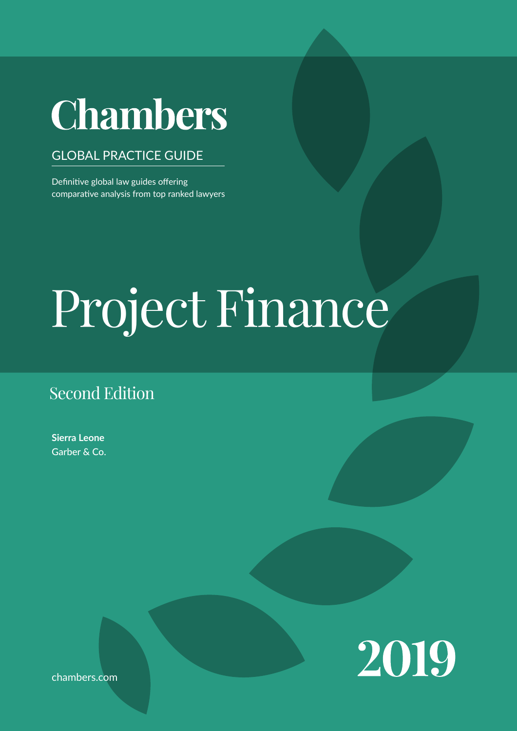# SIERRA LEONE DE L'ANGELIA DE L'ANGELIA DE L'ANGELIA DE L'ANGELIA DE L'ANGELIA DE L'ANGELIA DE L'ANGELIA DE L'A<br>SIERRA L'ANGELIA DE L'ANGELIA DE L'ANGELIA DE L'ANGELIA DE L'ANGELIA DE L'ANGELIA DE L'ANGELIA DE L'ANGELIA DE

# GLOBAL PRACTICE GUIDE

Definitive global law guides offering comparative analysis from top ranked lawyers

# on navigating the legal system when conducting business in the  $\mathbf{L}$  leads and practice at key transactional stages and for crucial aspects of doing business. Project Finance

# Second Edition

**Sierra Leone** Garber & Co.



chambers.com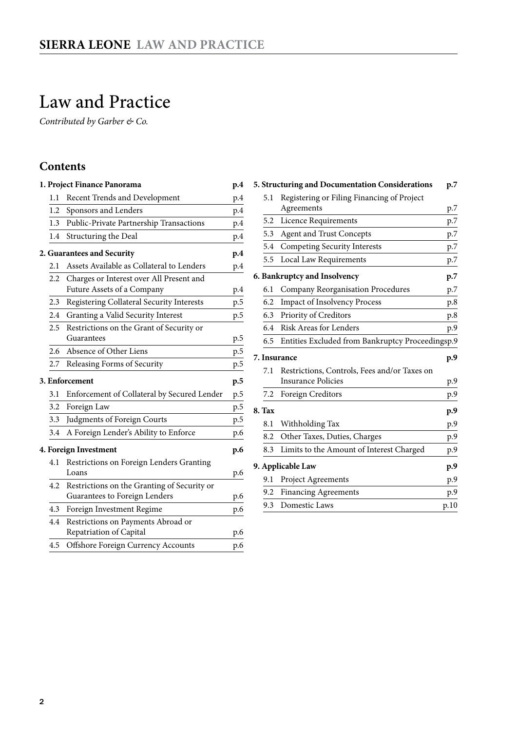# <span id="page-1-0"></span>Law and Practice

*Contributed by Garber & Co.*

# **Contents**

|     | 1. Project Finance Panorama                 | p.4 |
|-----|---------------------------------------------|-----|
| 1.1 | Recent Trends and Development               | p.4 |
| 1.2 | Sponsors and Lenders                        | p.4 |
| 1.3 | Public-Private Partnership Transactions     | p.4 |
| 1.4 | Structuring the Deal                        | p.4 |
|     | 2. Guarantees and Security                  | p.4 |
| 2.1 | Assets Available as Collateral to Lenders   | p.4 |
| 2.2 | Charges or Interest over All Present and    |     |
|     | Future Assets of a Company                  | p.4 |
| 2.3 | Registering Collateral Security Interests   | p.5 |
| 2.4 | Granting a Valid Security Interest          | p.5 |
| 2.5 | Restrictions on the Grant of Security or    |     |
|     | Guarantees                                  | p.5 |
| 2.6 | Absence of Other Liens                      | p.5 |
| 2.7 | Releasing Forms of Security                 | p.5 |
|     | 3. Enforcement                              | p.5 |
| 3.1 | Enforcement of Collateral by Secured Lender | p.5 |
| 3.2 | Foreign Law                                 | p.5 |
| 3.3 | Judgments of Foreign Courts                 | p.5 |
| 3.4 | A Foreign Lender's Ability to Enforce       | p.6 |
|     | 4. Foreign Investment                       | p.6 |
| 4.1 | Restrictions on Foreign Lenders Granting    |     |
|     | Loans                                       | p.6 |
| 4.2 | Restrictions on the Granting of Security or |     |
|     | Guarantees to Foreign Lenders               | p.6 |
| 4.3 | Foreign Investment Regime                   | p.6 |
| 4.4 | Restrictions on Payments Abroad or          |     |
|     | Repatriation of Capital                     | p.6 |
| 4.5 | Offshore Foreign Currency Accounts          | p.6 |

|        | 5. Structuring and Documentation Considerations  | p.7  |
|--------|--------------------------------------------------|------|
| 5.1    | Registering or Filing Financing of Project       |      |
|        | Agreements                                       | p.7  |
| 5.2    | Licence Requirements                             | p.7  |
| 5.3    | <b>Agent and Trust Concepts</b>                  | p.7  |
| 5.4    | Competing Security Interests                     | p.7  |
| 5.5    | Local Law Requirements                           | p.7  |
|        | 6. Bankruptcy and Insolvency                     | p.7  |
| 6.1    | <b>Company Reorganisation Procedures</b>         | p.7  |
| 6.2    | <b>Impact of Insolvency Process</b>              | p.8  |
| 6.3    | Priority of Creditors                            | p.8  |
| 6.4    | <b>Risk Areas for Lenders</b>                    | p.9  |
| 6.5    | Entities Excluded from Bankruptcy Proceedingsp.9 |      |
|        | 7. Insurance                                     | p.9  |
| 7.1    | Restrictions, Controls, Fees and/or Taxes on     |      |
|        | <b>Insurance Policies</b>                        | p.9  |
| 7.2    | Foreign Creditors                                | p.9  |
| 8. Tax |                                                  | p.9  |
| 8.1    | Withholding Tax                                  | p.9  |
| 8.2    | Other Taxes, Duties, Charges                     | p.9  |
| 8.3    | Limits to the Amount of Interest Charged         | p.9  |
|        | 9. Applicable Law                                | p.9  |
| 9.1    | Project Agreements                               | p.9  |
| 9.2    | <b>Financing Agreements</b>                      | p.9  |
| 9.3    | Domestic Laws                                    | p.10 |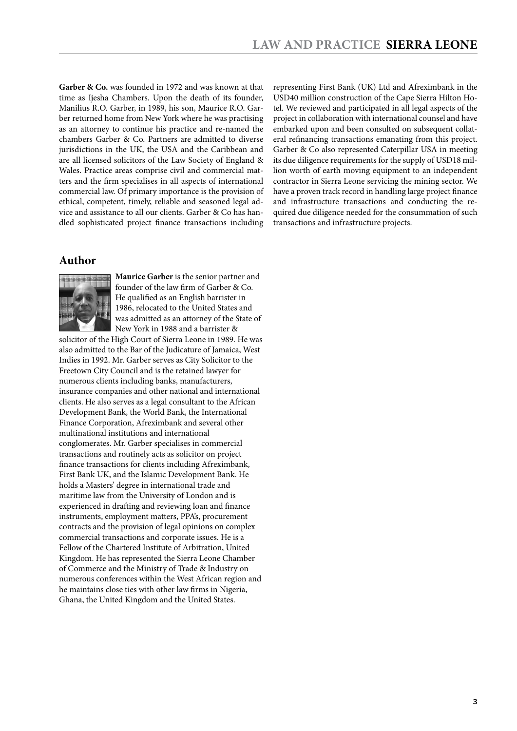Garber & Co. was founded in 1972 and was known at that time as Ijesha Chambers. Upon the death of its founder, Manilius R.O. Garber, in 1989, his son, Maurice R.O. Garber returned home from New York where he was practising as an attorney to continue his practice and re-named the chambers Garber & Co. Partners are admitted to diverse jurisdictions in the UK, the USA and the Caribbean and are all licensed solicitors of the Law Society of England & Wales. Practice areas comprise civil and commercial matters and the firm specialises in all aspects of international commercial law. Of primary importance is the provision of ethical, competent, timely, reliable and seasoned legal advice and assistance to all our clients. Garber & Co has handled sophisticated project finance transactions including

# **Author**



**Maurice Garber** is the senior partner and founder of the law firm of Garber & Co. He qualified as an English barrister in 1986, relocated to the United States and was admitted as an attorney of the State of New York in 1988 and a barrister &

solicitor of the High Court of Sierra Leone in 1989. He was also admitted to the Bar of the Judicature of Jamaica, West Indies in 1992. Mr. Garber serves as City Solicitor to the Freetown City Council and is the retained lawyer for numerous clients including banks, manufacturers, insurance companies and other national and international clients. He also serves as a legal consultant to the African Development Bank, the World Bank, the International Finance Corporation, Afreximbank and several other multinational institutions and international conglomerates. Mr. Garber specialises in commercial transactions and routinely acts as solicitor on project finance transactions for clients including Afreximbank, First Bank UK, and the Islamic Development Bank. He holds a Masters' degree in international trade and maritime law from the University of London and is experienced in drafting and reviewing loan and finance instruments, employment matters, PPA's, procurement contracts and the provision of legal opinions on complex commercial transactions and corporate issues. He is a Fellow of the Chartered Institute of Arbitration, United Kingdom. He has represented the Sierra Leone Chamber of Commerce and the Ministry of Trade & Industry on numerous conferences within the West African region and he maintains close ties with other law firms in Nigeria, Ghana, the United Kingdom and the United States.

representing First Bank (UK) Ltd and Afreximbank in the USD40 million construction of the Cape Sierra Hilton Hotel. We reviewed and participated in all legal aspects of the project in collaboration with international counsel and have embarked upon and been consulted on subsequent collateral refinancing transactions emanating from this project. Garber & Co also represented Caterpillar USA in meeting its due diligence requirements for the supply of USD18 million worth of earth moving equipment to an independent contractor in Sierra Leone servicing the mining sector. We have a proven track record in handling large project finance and infrastructure transactions and conducting the required due diligence needed for the consummation of such transactions and infrastructure projects.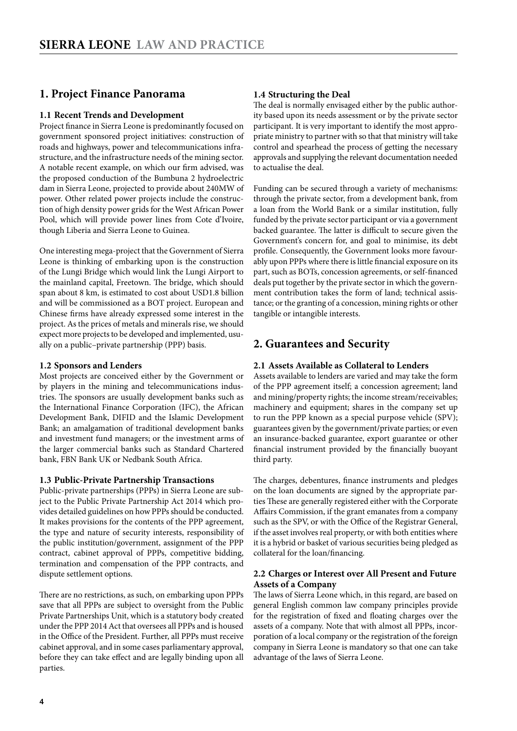# <span id="page-3-0"></span>**1. Project Finance Panorama**

#### **1.1 Recent Trends and Development**

Project finance in Sierra Leone is predominantly focused on government sponsored project initiatives: construction of roads and highways, power and telecommunications infrastructure, and the infrastructure needs of the mining sector. A notable recent example, on which our firm advised, was the proposed conduction of the Bumbuna 2 hydroelectric dam in Sierra Leone, projected to provide about 240MW of power. Other related power projects include the construction of high density power grids for the West African Power Pool, which will provide power lines from Cote d'Ivoire, though Liberia and Sierra Leone to Guinea.

One interesting mega-project that the Government of Sierra Leone is thinking of embarking upon is the construction of the Lungi Bridge which would link the Lungi Airport to the mainland capital, Freetown. The bridge, which should span about 8 km, is estimated to cost about USD1.8 billion and will be commissioned as a BOT project. European and Chinese firms have already expressed some interest in the project. As the prices of metals and minerals rise, we should expect more projects to be developed and implemented, usually on a public–private partnership (PPP) basis.

#### **1.2 Sponsors and Lenders**

Most projects are conceived either by the Government or by players in the mining and telecommunications industries. The sponsors are usually development banks such as the International Finance Corporation (IFC), the African Development Bank, DIFID and the Islamic Development Bank; an amalgamation of traditional development banks and investment fund managers; or the investment arms of the larger commercial banks such as Standard Chartered bank, FBN Bank UK or Nedbank South Africa.

#### **1.3 Public-Private Partnership Transactions**

Public-private partnerships (PPPs) in Sierra Leone are subject to the Public Private Partnership Act 2014 which provides detailed guidelines on how PPPs should be conducted. It makes provisions for the contents of the PPP agreement, the type and nature of security interests, responsibility of the public institution/government, assignment of the PPP contract, cabinet approval of PPPs, competitive bidding, termination and compensation of the PPP contracts, and dispute settlement options.

There are no restrictions, as such, on embarking upon PPPs save that all PPPs are subject to oversight from the Public Private Partnerships Unit, which is a statutory body created under the PPP 2014 Act that oversees all PPPs and is housed in the Office of the President. Further, all PPPs must receive cabinet approval, and in some cases parliamentary approval, before they can take effect and are legally binding upon all parties.

#### **1.4 Structuring the Deal**

The deal is normally envisaged either by the public authority based upon its needs assessment or by the private sector participant. It is very important to identify the most appropriate ministry to partner with so that that ministry will take control and spearhead the process of getting the necessary approvals and supplying the relevant documentation needed to actualise the deal.

Funding can be secured through a variety of mechanisms: through the private sector, from a development bank, from a loan from the World Bank or a similar institution, fully funded by the private sector participant or via a government backed guarantee. The latter is difficult to secure given the Government's concern for, and goal to minimise, its debt profile. Consequently, the Government looks more favourably upon PPPs where there is little financial exposure on its part, such as BOTs, concession agreements, or self-financed deals put together by the private sector in which the government contribution takes the form of land; technical assistance; or the granting of a concession, mining rights or other tangible or intangible interests.

#### **2. Guarantees and Security**

#### **2.1 Assets Available as Collateral to Lenders**

Assets available to lenders are varied and may take the form of the PPP agreement itself; a concession agreement; land and mining/property rights; the income stream/receivables; machinery and equipment; shares in the company set up to run the PPP known as a special purpose vehicle (SPV); guarantees given by the government/private parties; or even an insurance-backed guarantee, export guarantee or other financial instrument provided by the financially buoyant third party.

The charges, debentures, finance instruments and pledges on the loan documents are signed by the appropriate parties These are generally registered either with the Corporate Affairs Commission, if the grant emanates from a company such as the SPV, or with the Office of the Registrar General, if the asset involves real property, or with both entities where it is a hybrid or basket of various securities being pledged as collateral for the loan/financing.

#### **2.2 Charges or Interest over All Present and Future Assets of a Company**

The laws of Sierra Leone which, in this regard, are based on general English common law company principles provide for the registration of fixed and floating charges over the assets of a company. Note that with almost all PPPs, incorporation of a local company or the registration of the foreign company in Sierra Leone is mandatory so that one can take advantage of the laws of Sierra Leone.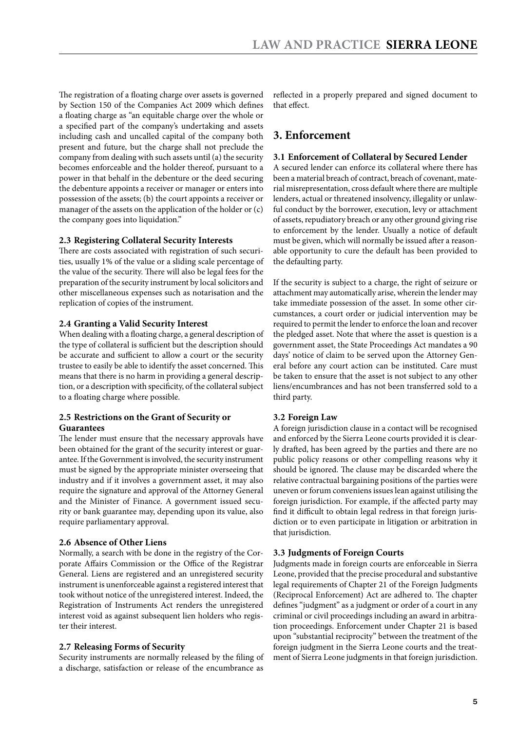<span id="page-4-0"></span>The registration of a floating charge over assets is governed by Section 150 of the Companies Act 2009 which defines a floating charge as "an equitable charge over the whole or a specified part of the company's undertaking and assets including cash and uncalled capital of the company both present and future, but the charge shall not preclude the company from dealing with such assets until  $(a)$  the security becomes enforceable and the holder thereof, pursuant to a power in that behalf in the debenture or the deed securing the debenture appoints a receiver or manager or enters into possession of the assets; (b) the court appoints a receiver or manager of the assets on the application of the holder or (c) the company goes into liquidation."

#### **2.3 Registering Collateral Security Interests**

There are costs associated with registration of such securities, usually 1% of the value or a sliding scale percentage of the value of the security. There will also be legal fees for the preparation of the security instrument by local solicitors and other miscellaneous expenses such as notarisation and the replication of copies of the instrument.

#### **2.4 Granting a Valid Security Interest**

When dealing with a floating charge, a general description of the type of collateral is sufficient but the description should be accurate and sufficient to allow a court or the security trustee to easily be able to identify the asset concerned. This means that there is no harm in providing a general description, or a description with specificity, of the collateral subject to a floating charge where possible.

#### **2.5 Restrictions on the Grant of Security or Guarantees**

The lender must ensure that the necessary approvals have been obtained for the grant of the security interest or guarantee. If the Government is involved, the security instrument must be signed by the appropriate minister overseeing that industry and if it involves a government asset, it may also require the signature and approval of the Attorney General and the Minister of Finance. A government issued security or bank guarantee may, depending upon its value, also require parliamentary approval.

#### **2.6 Absence of Other Liens**

Normally, a search with be done in the registry of the Corporate Affairs Commission or the Office of the Registrar General. Liens are registered and an unregistered security instrument is unenforceable against a registered interest that took without notice of the unregistered interest. Indeed, the Registration of Instruments Act renders the unregistered interest void as against subsequent lien holders who register their interest.

#### **2.7 Releasing Forms of Security**

Security instruments are normally released by the filing of a discharge, satisfaction or release of the encumbrance as

reflected in a properly prepared and signed document to that effect.

# **3. Enforcement**

#### **3.1 Enforcement of Collateral by Secured Lender**

A secured lender can enforce its collateral where there has been a material breach of contract, breach of covenant, material misrepresentation, cross default where there are multiple lenders, actual or threatened insolvency, illegality or unlawful conduct by the borrower, execution, levy or attachment of assets, repudiatory breach or any other ground giving rise to enforcement by the lender. Usually a notice of default must be given, which will normally be issued after a reasonable opportunity to cure the default has been provided to the defaulting party.

If the security is subject to a charge, the right of seizure or attachment may automatically arise, wherein the lender may take immediate possession of the asset. In some other circumstances, a court order or judicial intervention may be required to permit the lender to enforce the loan and recover the pledged asset. Note that where the asset is question is a government asset, the State Proceedings Act mandates a 90 days' notice of claim to be served upon the Attorney General before any court action can be instituted. Care must be taken to ensure that the asset is not subject to any other liens/encumbrances and has not been transferred sold to a third party.

#### **3.2 Foreign Law**

A foreign jurisdiction clause in a contact will be recognised and enforced by the Sierra Leone courts provided it is clearly drafted, has been agreed by the parties and there are no public policy reasons or other compelling reasons why it should be ignored. The clause may be discarded where the relative contractual bargaining positions of the parties were uneven or forum conveniens issues lean against utilising the foreign jurisdiction. For example, if the affected party may find it difficult to obtain legal redress in that foreign jurisdiction or to even participate in litigation or arbitration in that jurisdiction.

#### **3.3 Judgments of Foreign Courts**

Judgments made in foreign courts are enforceable in Sierra Leone, provided that the precise procedural and substantive legal requirements of Chapter 21 of the Foreign Judgments (Reciprocal Enforcement) Act are adhered to. The chapter defines "judgment" as a judgment or order of a court in any criminal or civil proceedings including an award in arbitration proceedings. Enforcement under Chapter 21 is based upon "substantial reciprocity" between the treatment of the foreign judgment in the Sierra Leone courts and the treatment of Sierra Leone judgments in that foreign jurisdiction.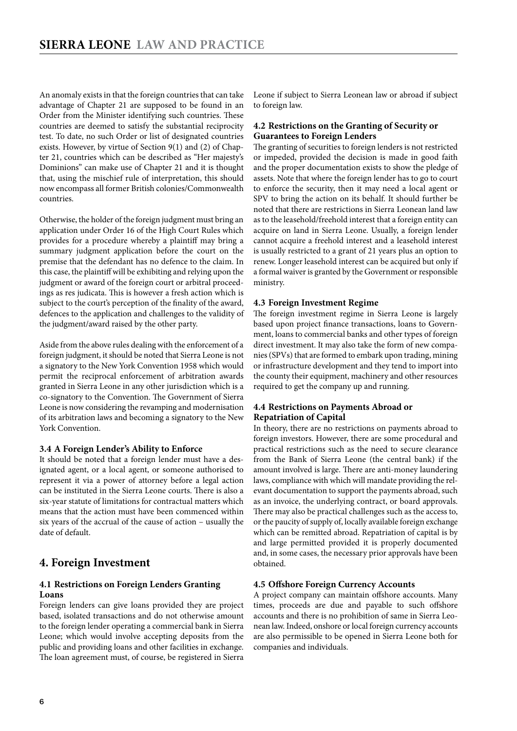<span id="page-5-0"></span>An anomaly exists in that the foreign countries that can take advantage of Chapter 21 are supposed to be found in an Order from the Minister identifying such countries. These countries are deemed to satisfy the substantial reciprocity test. To date, no such Order or list of designated countries exists. However, by virtue of Section 9(1) and (2) of Chapter 21, countries which can be described as "Her majesty's Dominions" can make use of Chapter 21 and it is thought that, using the mischief rule of interpretation, this should now encompass all former British colonies/Commonwealth countries.

Otherwise, the holder of the foreign judgment must bring an application under Order 16 of the High Court Rules which provides for a procedure whereby a plaintiff may bring a summary judgment application before the court on the premise that the defendant has no defence to the claim. In this case, the plaintiff will be exhibiting and relying upon the judgment or award of the foreign court or arbitral proceedings as res judicata. This is however a fresh action which is subject to the court's perception of the finality of the award, defences to the application and challenges to the validity of the judgment/award raised by the other party.

Aside from the above rules dealing with the enforcement of a foreign judgment, it should be noted that Sierra Leone is not a signatory to the New York Convention 1958 which would permit the reciprocal enforcement of arbitration awards granted in Sierra Leone in any other jurisdiction which is a co-signatory to the Convention. The Government of Sierra Leone is now considering the revamping and modernisation of its arbitration laws and becoming a signatory to the New York Convention.

#### **3.4 A Foreign Lender's Ability to Enforce**

It should be noted that a foreign lender must have a designated agent, or a local agent, or someone authorised to represent it via a power of attorney before a legal action can be instituted in the Sierra Leone courts. There is also a six-year statute of limitations for contractual matters which means that the action must have been commenced within six years of the accrual of the cause of action – usually the date of default.

## **4. Foreign Investment**

#### **4.1 Restrictions on Foreign Lenders Granting Loans**

Foreign lenders can give loans provided they are project based, isolated transactions and do not otherwise amount to the foreign lender operating a commercial bank in Sierra Leone; which would involve accepting deposits from the public and providing loans and other facilities in exchange. The loan agreement must, of course, be registered in Sierra

Leone if subject to Sierra Leonean law or abroad if subject to foreign law.

#### **4.2 Restrictions on the Granting of Security or Guarantees to Foreign Lenders**

The granting of securities to foreign lenders is not restricted or impeded, provided the decision is made in good faith and the proper documentation exists to show the pledge of assets. Note that where the foreign lender has to go to court to enforce the security, then it may need a local agent or SPV to bring the action on its behalf. It should further be noted that there are restrictions in Sierra Leonean land law as to the leasehold/freehold interest that a foreign entity can acquire on land in Sierra Leone. Usually, a foreign lender cannot acquire a freehold interest and a leasehold interest is usually restricted to a grant of 21 years plus an option to renew. Longer leasehold interest can be acquired but only if a formal waiver is granted by the Government or responsible ministry.

#### **4.3 Foreign Investment Regime**

The foreign investment regime in Sierra Leone is largely based upon project finance transactions, loans to Government, loans to commercial banks and other types of foreign direct investment. It may also take the form of new companies (SPVs) that are formed to embark upon trading, mining or infrastructure development and they tend to import into the county their equipment, machinery and other resources required to get the company up and running.

#### **4.4 Restrictions on Payments Abroad or Repatriation of Capital**

In theory, there are no restrictions on payments abroad to foreign investors. However, there are some procedural and practical restrictions such as the need to secure clearance from the Bank of Sierra Leone (the central bank) if the amount involved is large. There are anti-money laundering laws, compliance with which will mandate providing the relevant documentation to support the payments abroad, such as an invoice, the underlying contract, or board approvals. There may also be practical challenges such as the access to, or the paucity of supply of, locally available foreign exchange which can be remitted abroad. Repatriation of capital is by and large permitted provided it is properly documented and, in some cases, the necessary prior approvals have been obtained.

#### **4.5 Offshore Foreign Currency Accounts**

A project company can maintain offshore accounts. Many times, proceeds are due and payable to such offshore accounts and there is no prohibition of same in Sierra Leonean law. Indeed, onshore or local foreign currency accounts are also permissible to be opened in Sierra Leone both for companies and individuals.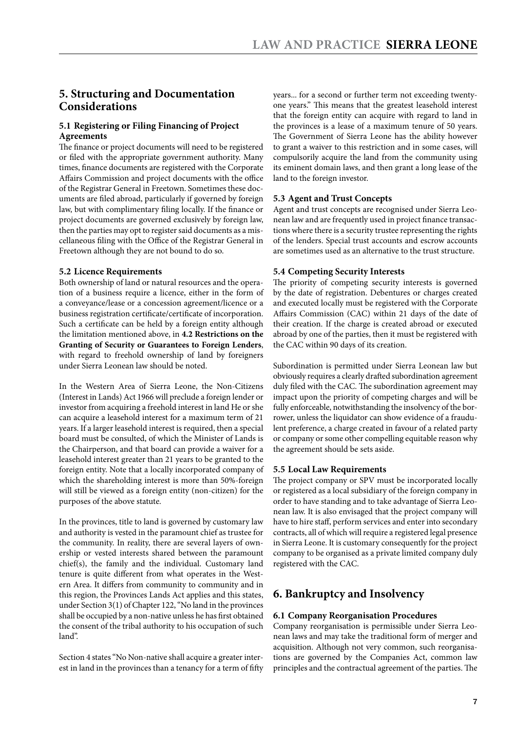# <span id="page-6-0"></span>**5. Structuring and Documentation Considerations**

#### **5.1 Registering or Filing Financing of Project Agreements**

The finance or project documents will need to be registered or filed with the appropriate government authority. Many times, finance documents are registered with the Corporate Affairs Commission and project documents with the office of the Registrar General in Freetown. Sometimes these documents are filed abroad, particularly if governed by foreign law, but with complimentary filing locally. If the finance or project documents are governed exclusively by foreign law, then the parties may opt to register said documents as a miscellaneous filing with the Office of the Registrar General in Freetown although they are not bound to do so.

#### **5.2 Licence Requirements**

Both ownership of land or natural resources and the operation of a business require a licence, either in the form of a conveyance/lease or a concession agreement/licence or a business registration certificate/certificate of incorporation. Such a certificate can be held by a foreign entity although the limitation mentioned above, in **4.2 Restrictions on the Granting of Security or Guarantees to Foreign Lenders**, with regard to freehold ownership of land by foreigners under Sierra Leonean law should be noted.

In the Western Area of Sierra Leone, the Non-Citizens (Interest in Lands) Act 1966 will preclude a foreign lender or investor from acquiring a freehold interest in land He or she can acquire a leasehold interest for a maximum term of 21 years. If a larger leasehold interest is required, then a special board must be consulted, of which the Minister of Lands is the Chairperson, and that board can provide a waiver for a leasehold interest greater than 21 years to be granted to the foreign entity. Note that a locally incorporated company of which the shareholding interest is more than 50%-foreign will still be viewed as a foreign entity (non-citizen) for the purposes of the above statute.

In the provinces, title to land is governed by customary law and authority is vested in the paramount chief as trustee for the community. In reality, there are several layers of ownership or vested interests shared between the paramount chief(s), the family and the individual. Customary land tenure is quite different from what operates in the Western Area. It differs from community to community and in this region, the Provinces Lands Act applies and this states, under Section 3(1) of Chapter 122, "No land in the provinces shall be occupied by a non-native unless he has first obtained the consent of the tribal authority to his occupation of such land".

Section 4 states "No Non-native shall acquire a greater interest in land in the provinces than a tenancy for a term of fifty years... for a second or further term not exceeding twentyone years." This means that the greatest leasehold interest that the foreign entity can acquire with regard to land in the provinces is a lease of a maximum tenure of 50 years. The Government of Sierra Leone has the ability however to grant a waiver to this restriction and in some cases, will compulsorily acquire the land from the community using its eminent domain laws, and then grant a long lease of the land to the foreign investor.

#### **5.3 Agent and Trust Concepts**

Agent and trust concepts are recognised under Sierra Leonean law and are frequently used in project finance transactions where there is a security trustee representing the rights of the lenders. Special trust accounts and escrow accounts are sometimes used as an alternative to the trust structure.

#### **5.4 Competing Security Interests**

The priority of competing security interests is governed by the date of registration. Debentures or charges created and executed locally must be registered with the Corporate Affairs Commission (CAC) within 21 days of the date of their creation. If the charge is created abroad or executed abroad by one of the parties, then it must be registered with the CAC within 90 days of its creation.

Subordination is permitted under Sierra Leonean law but obviously requires a clearly drafted subordination agreement duly filed with the CAC. The subordination agreement may impact upon the priority of competing charges and will be fully enforceable, notwithstanding the insolvency of the borrower, unless the liquidator can show evidence of a fraudulent preference, a charge created in favour of a related party or company or some other compelling equitable reason why the agreement should be sets aside.

#### **5.5 Local Law Requirements**

The project company or SPV must be incorporated locally or registered as a local subsidiary of the foreign company in order to have standing and to take advantage of Sierra Leonean law. It is also envisaged that the project company will have to hire staff, perform services and enter into secondary contracts, all of which will require a registered legal presence in Sierra Leone. It is customary consequently for the project company to be organised as a private limited company duly registered with the CAC.

# **6. Bankruptcy and Insolvency**

#### **6.1 Company Reorganisation Procedures**

Company reorganisation is permissible under Sierra Leonean laws and may take the traditional form of merger and acquisition. Although not very common, such reorganisations are governed by the Companies Act, common law principles and the contractual agreement of the parties. The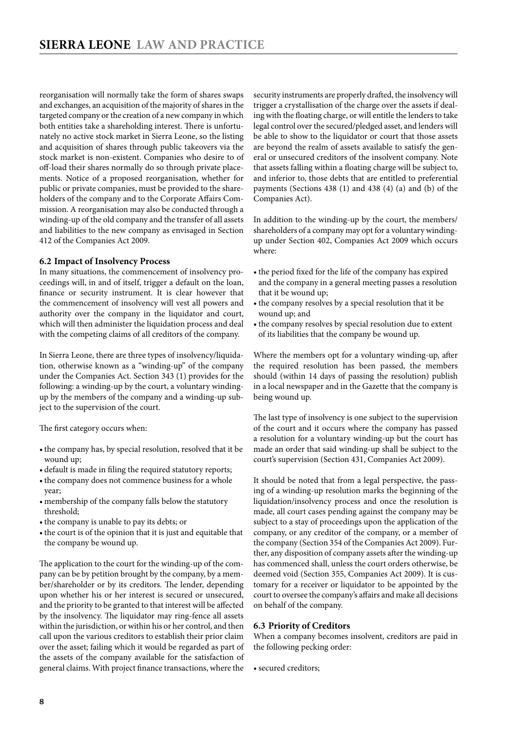<span id="page-7-0"></span>reorganisation will normally take the form of shares swaps and exchanges, an acquisition of the majority of shares in the targeted company or the creation of a new company in which both entities take a shareholding interest. There is unfortunately no active stock market in Sierra Leone, so the listing and acquisition of shares through public takeovers via the stock market is non-existent. Companies who desire to of off-load their shares normally do so through private placements. Notice of a proposed reorganisation, whether for public or private companies, must be provided to the shareholders of the company and to the Corporate Affairs Commission. A reorganisation may also be conducted through a winding-up of the old company and the transfer of all assets and liabilities to the new company as envisaged in Section 412 of the Companies Act 2009.

#### **6.2 Impact of Insolvency Process**

In many situations, the commencement of insolvency proceedings will, in and of itself, trigger a default on the loan, finance or security instrument. It is clear however that the commencement of insolvency will vest all powers and authority over the company in the liquidator and court, which will then administer the liquidation process and deal with the competing claims of all creditors of the company.

In Sierra Leone, there are three types of insolvency/liquidation, otherwise known as a "winding-up" of the company under the Companies Act. Section 343 (1) provides for the following: a winding-up by the court, a voluntary windingup by the members of the company and a winding-up subject to the supervision of the court.

The first category occurs when:

- the company has, by special resolution, resolved that it be wound up;
- default is made in filing the required statutory reports;
- the company does not commence business for a whole year;
- membership of the company falls below the statutory threshold;
- the company is unable to pay its debts; or
- the court is of the opinion that it is just and equitable that the company be wound up.

The application to the court for the winding-up of the company can be by petition brought by the company, by a member/shareholder or by its creditors. The lender, depending upon whether his or her interest is secured or unsecured, and the priority to be granted to that interest will be affected by the insolvency. The liquidator may ring-fence all assets within the jurisdiction, or within his or her control, and then call upon the various creditors to establish their prior claim over the asset; failing which it would be regarded as part of the assets of the company available for the satisfaction of general claims. With project finance transactions, where the security instruments are properly drafted, the insolvency will trigger a crystallisation of the charge over the assets if dealing with the floating charge, or will entitle the lenders to take legal control over the secured/pledged asset, and lenders will be able to show to the liquidator or court that those assets are beyond the realm of assets available to satisfy the general or unsecured creditors of the insolvent company. Note that assets falling within a floating charge will be subject to, and inferior to, those debts that are entitled to preferential payments (Sections 438 (1) and 438 (4) (a) and (b) of the Companies Act).

In addition to the winding-up by the court, the members/ shareholders of a company may opt for a voluntary windingup under Section 402, Companies Act 2009 which occurs where:

- the period fixed for the life of the company has expired and the company in a general meeting passes a resolution that it be wound up;
- the company resolves by a special resolution that it be wound up; and
- the company resolves by special resolution due to extent of its liabilities that the company be wound up.

Where the members opt for a voluntary winding-up, after the required resolution has been passed, the members should (within 14 days of passing the resolution) publish in a local newspaper and in the Gazette that the company is being wound up.

The last type of insolvency is one subject to the supervision of the court and it occurs where the company has passed a resolution for a voluntary winding-up but the court has made an order that said winding-up shall be subject to the court's supervision (Section 431, Companies Act 2009).

It should be noted that from a legal perspective, the passing of a winding-up resolution marks the beginning of the liquidation/insolvency process and once the resolution is made, all court cases pending against the company may be subject to a stay of proceedings upon the application of the company, or any creditor of the company, or a member of the company (Section 354 of the Companies Act 2009). Further, any disposition of company assets after the winding-up has commenced shall, unless the court orders otherwise, be deemed void (Section 355, Companies Act 2009). It is customary for a receiver or liquidator to be appointed by the court to oversee the company's affairs and make all decisions on behalf of the company.

#### **6.3 Priority of Creditors**

When a company becomes insolvent, creditors are paid in the following pecking order:

• secured creditors;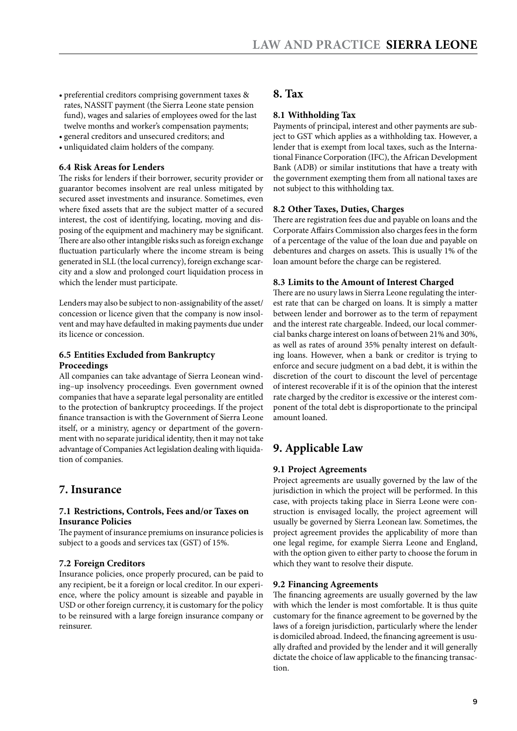- <span id="page-8-0"></span>• preferential creditors comprising government taxes & rates, NASSIT payment (the Sierra Leone state pension fund), wages and salaries of employees owed for the last twelve months and worker's compensation payments;
- • general creditors and unsecured creditors; and
- • unliquidated claim holders of the company.

#### **6.4 Risk Areas for Lenders**

The risks for lenders if their borrower, security provider or guarantor becomes insolvent are real unless mitigated by secured asset investments and insurance. Sometimes, even where fixed assets that are the subject matter of a secured interest, the cost of identifying, locating, moving and disposing of the equipment and machinery may be significant. There are also other intangible risks such as foreign exchange fluctuation particularly where the income stream is being generated in SLL (the local currency), foreign exchange scarcity and a slow and prolonged court liquidation process in which the lender must participate.

Lenders may also be subject to non-assignability of the asset/ concession or licence given that the company is now insolvent and may have defaulted in making payments due under its licence or concession.

#### **6.5 Entities Excluded from Bankruptcy Proceedings**

All companies can take advantage of Sierra Leonean winding–up insolvency proceedings. Even government owned companies that have a separate legal personality are entitled to the protection of bankruptcy proceedings. If the project finance transaction is with the Government of Sierra Leone itself, or a ministry, agency or department of the government with no separate juridical identity, then it may not take advantage of Companies Act legislation dealing with liquidation of companies.

## **7. Insurance**

#### **7.1 Restrictions, Controls, Fees and/or Taxes on Insurance Policies**

The payment of insurance premiums on insurance policies is subject to a goods and services tax (GST) of 15%.

#### **7.2 Foreign Creditors**

Insurance policies, once properly procured, can be paid to any recipient, be it a foreign or local creditor. In our experience, where the policy amount is sizeable and payable in USD or other foreign currency, it is customary for the policy to be reinsured with a large foreign insurance company or reinsurer.

## **8. Tax**

#### **8.1 Withholding Tax**

Payments of principal, interest and other payments are subject to GST which applies as a withholding tax. However, a lender that is exempt from local taxes, such as the International Finance Corporation (IFC), the African Development Bank (ADB) or similar institutions that have a treaty with the government exempting them from all national taxes are not subject to this withholding tax.

#### **8.2 Other Taxes, Duties, Charges**

There are registration fees due and payable on loans and the Corporate Affairs Commission also charges fees in the form of a percentage of the value of the loan due and payable on debentures and charges on assets. This is usually 1% of the loan amount before the charge can be registered.

#### **8.3 Limits to the Amount of Interest Charged**

There are no usury laws in Sierra Leone regulating the interest rate that can be charged on loans. It is simply a matter between lender and borrower as to the term of repayment and the interest rate chargeable. Indeed, our local commercial banks charge interest on loans of between 21% and 30%, as well as rates of around 35% penalty interest on defaulting loans. However, when a bank or creditor is trying to enforce and secure judgment on a bad debt, it is within the discretion of the court to discount the level of percentage of interest recoverable if it is of the opinion that the interest rate charged by the creditor is excessive or the interest component of the total debt is disproportionate to the principal amount loaned.

# **9. Applicable Law**

#### **9.1 Project Agreements**

Project agreements are usually governed by the law of the jurisdiction in which the project will be performed. In this case, with projects taking place in Sierra Leone were construction is envisaged locally, the project agreement will usually be governed by Sierra Leonean law. Sometimes, the project agreement provides the applicability of more than one legal regime, for example Sierra Leone and England, with the option given to either party to choose the forum in which they want to resolve their dispute.

#### **9.2 Financing Agreements**

The financing agreements are usually governed by the law with which the lender is most comfortable. It is thus quite customary for the finance agreement to be governed by the laws of a foreign jurisdiction, particularly where the lender is domiciled abroad. Indeed, the financing agreement is usually drafted and provided by the lender and it will generally dictate the choice of law applicable to the financing transaction.